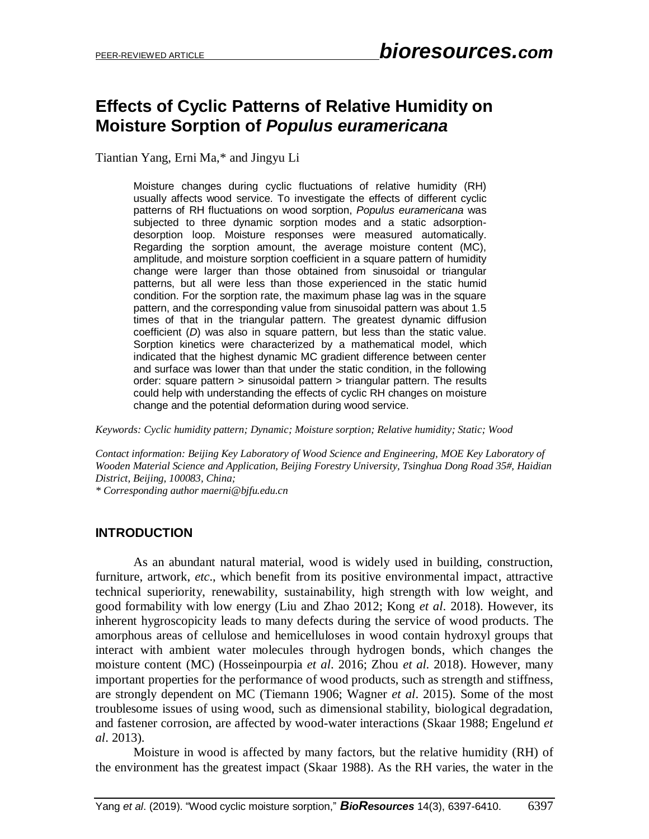# **Effects of Cyclic Patterns of Relative Humidity on Moisture Sorption of** *Populus euramericana*

Tiantian Yang, Erni Ma,\* and Jingyu Li

Moisture changes during cyclic fluctuations of relative humidity (RH) usually affects wood service. To investigate the effects of different cyclic patterns of RH fluctuations on wood sorption, *Populus euramericana* was subjected to three dynamic sorption modes and a static adsorptiondesorption loop. Moisture responses were measured automatically. Regarding the sorption amount, the average moisture content (MC), amplitude, and moisture sorption coefficient in a square pattern of humidity change were larger than those obtained from sinusoidal or triangular patterns, but all were less than those experienced in the static humid condition. For the sorption rate, the maximum phase lag was in the square pattern, and the corresponding value from sinusoidal pattern was about 1.5 times of that in the triangular pattern. The greatest dynamic diffusion coefficient (*D*) was also in square pattern, but less than the static value. Sorption kinetics were characterized by a mathematical model, which indicated that the highest dynamic MC gradient difference between center and surface was lower than that under the static condition, in the following order: square pattern > sinusoidal pattern > triangular pattern. The results could help with understanding the effects of cyclic RH changes on moisture change and the potential deformation during wood service.

*Keywords: Cyclic humidity pattern; Dynamic; Moisture sorption; Relative humidity; Static; Wood*

*Contact information: Beijing Key Laboratory of Wood Science and Engineering, MOE Key Laboratory of Wooden Material Science and Application, Beijing Forestry University, Tsinghua Dong Road 35#, Haidian District, Beijing, 100083, China; \* Corresponding author maerni@bjfu.edu.cn*

# **INTRODUCTION**

As an abundant natural material, wood is widely used in building, construction, furniture, artwork, *etc*., which benefit from its positive environmental impact, attractive technical superiority, renewability, sustainability, high strength with low weight, and good formability with low energy (Liu and Zhao 2012; Kong *et al*. 2018). However, its inherent hygroscopicity leads to many defects during the service of wood products. The amorphous areas of cellulose and hemicelluloses in wood contain hydroxyl groups that interact with ambient water molecules through hydrogen bonds, which changes the moisture content (MC) (Hosseinpourpia *et al*. 2016; Zhou *et al*. 2018). However, many important properties for the performance of wood products, such as strength and stiffness, are strongly dependent on MC (Tiemann 1906; Wagner *et al*. 2015). Some of the most troublesome issues of using wood, such as dimensional stability, biological degradation, and fastener corrosion, are affected by wood-water interactions (Skaar 1988; Engelund *et al*. 2013).

Moisture in wood is affected by many factors, but the relative humidity (RH) of the environment has the greatest impact (Skaar 1988). As the RH varies, the water in the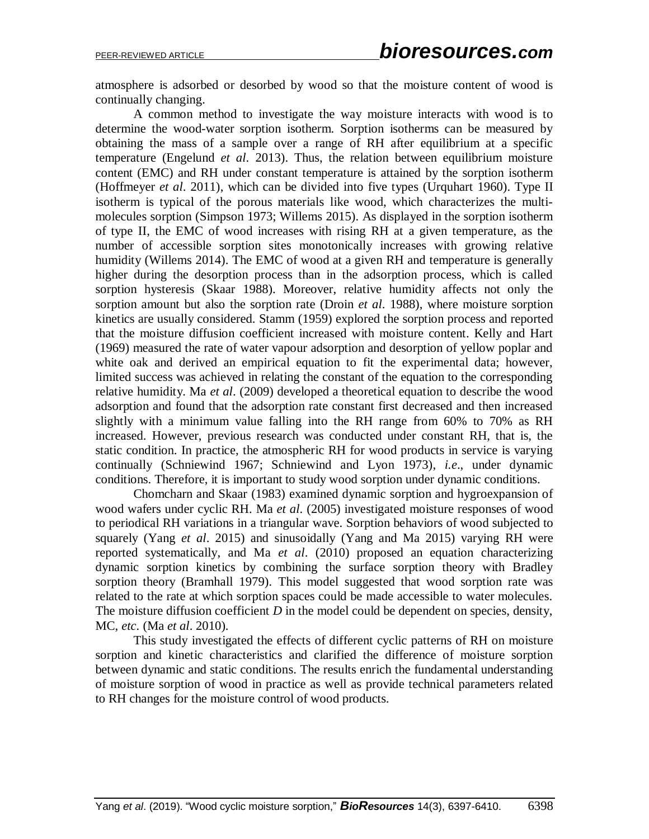atmosphere is adsorbed or desorbed by wood so that the moisture content of wood is continually changing.

A common method to investigate the way moisture interacts with wood is to determine the wood-water sorption isotherm. Sorption isotherms can be measured by obtaining the mass of a sample over a range of RH after equilibrium at a specific temperature (Engelund *et al*. 2013). Thus, the relation between equilibrium moisture content (EMC) and RH under constant temperature is attained by the sorption isotherm (Hoffmeyer *et al*. 2011), which can be divided into five types (Urquhart 1960). Type II isotherm is typical of the porous materials like wood, which characterizes the multimolecules sorption (Simpson 1973; Willems 2015). As displayed in the sorption isotherm of type II, the EMC of wood increases with rising RH at a given temperature, as the number of accessible sorption sites monotonically increases with growing relative humidity (Willems 2014). The EMC of wood at a given RH and temperature is generally higher during the desorption process than in the adsorption process, which is called sorption hysteresis (Skaar 1988). Moreover, relative humidity affects not only the sorption amount but also the sorption rate (Droin *et al*. 1988), where moisture sorption kinetics are usually considered. Stamm (1959) explored the sorption process and reported that the moisture diffusion coefficient increased with moisture content. Kelly and Hart (1969) measured the rate of water vapour adsorption and desorption of yellow poplar and white oak and derived an empirical equation to fit the experimental data; however, limited success was achieved in relating the constant of the equation to the corresponding relative humidity. Ma *et al*. (2009) developed a theoretical equation to describe the wood adsorption and found that the adsorption rate constant first decreased and then increased slightly with a minimum value falling into the RH range from 60% to 70% as RH increased. However, previous research was conducted under constant RH, that is, the static condition. In practice, the atmospheric RH for wood products in service is varying continually (Schniewind 1967; Schniewind and Lyon 1973), *i.e*., under dynamic conditions. Therefore, it is important to study wood sorption under dynamic conditions.

Chomcharn and Skaar (1983) examined dynamic sorption and hygroexpansion of wood wafers under cyclic RH. Ma *et al*. (2005) investigated moisture responses of wood to periodical RH variations in a triangular wave. Sorption behaviors of wood subjected to squarely (Yang *et al*. 2015) and sinusoidally (Yang and Ma 2015) varying RH were reported systematically, and Ma *et al*. (2010) proposed an equation characterizing dynamic sorption kinetics by combining the surface sorption theory with Bradley sorption theory (Bramhall 1979). This model suggested that wood sorption rate was related to the rate at which sorption spaces could be made accessible to water molecules. The moisture diffusion coefficient *D* in the model could be dependent on species, density, MC, *etc*. (Ma *et al*. 2010).

This study investigated the effects of different cyclic patterns of RH on moisture sorption and kinetic characteristics and clarified the difference of moisture sorption between dynamic and static conditions. The results enrich the fundamental understanding of moisture sorption of wood in practice as well as provide technical parameters related to RH changes for the moisture control of wood products.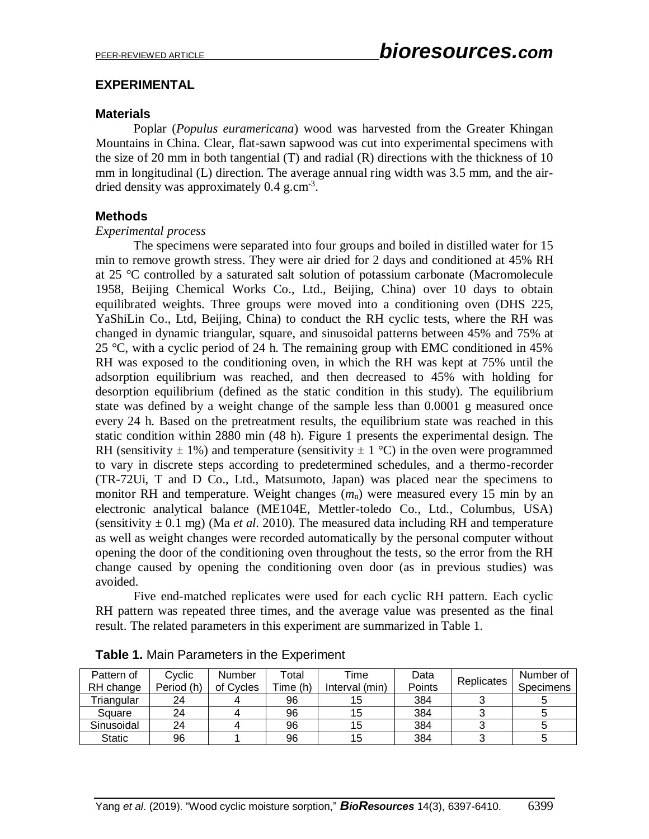# **EXPERIMENTAL**

## **Materials**

Poplar (*Populus euramericana*) wood was harvested from the Greater Khingan Mountains in China. Clear, flat-sawn sapwood was cut into experimental specimens with the size of 20 mm in both tangential (T) and radial (R) directions with the thickness of 10 mm in longitudinal (L) direction. The average annual ring width was 3.5 mm, and the airdried density was approximately  $0.4$  g.cm<sup>-3</sup>.

# **Methods**

### *Experimental process*

The specimens were separated into four groups and boiled in distilled water for 15 min to remove growth stress. They were air dried for 2 days and conditioned at 45% RH at 25 °C controlled by a saturated salt solution of potassium carbonate (Macromolecule 1958, Beijing Chemical Works Co., Ltd., Beijing, China) over 10 days to obtain equilibrated weights. Three groups were moved into a conditioning oven (DHS 225, YaShiLin Co., Ltd, Beijing, China) to conduct the RH cyclic tests, where the RH was changed in dynamic triangular, square, and sinusoidal patterns between 45% and 75% at 25 °C, with a cyclic period of 24 h. The remaining group with EMC conditioned in  $45\%$ RH was exposed to the conditioning oven, in which the RH was kept at 75% until the adsorption equilibrium was reached, and then decreased to 45% with holding for desorption equilibrium (defined as the static condition in this study). The equilibrium state was defined by a weight change of the sample less than 0.0001 g measured once every 24 h. Based on the pretreatment results, the equilibrium state was reached in this static condition within 2880 min (48 h). Figure 1 presents the experimental design. The RH (sensitivity  $\pm$  1%) and temperature (sensitivity  $\pm$  1 °C) in the oven were programmed to vary in discrete steps according to predetermined schedules, and a thermo-recorder (TR-72Ui, T and D Co., Ltd., Matsumoto, Japan) was placed near the specimens to monitor RH and temperature. Weight changes  $(m_n)$  were measured every 15 min by an electronic analytical balance (ME104E, Mettler-toledo Co., Ltd., Columbus, USA) (sensitivity  $\pm$  0.1 mg) (Ma *et al.* 2010). The measured data including RH and temperature as well as weight changes were recorded automatically by the personal computer without opening the door of the conditioning oven throughout the tests, so the error from the RH change caused by opening the conditioning oven door (as in previous studies) was avoided.

Five end-matched replicates were used for each cyclic RH pattern. Each cyclic RH pattern was repeated three times, and the average value was presented as the final result. The related parameters in this experiment are summarized in Table 1.

| Pattern of<br>RH change | Cyclic<br>Period (h) | Number<br>of Cycles | ⊺otal<br>Time (h) | <b>Fime</b><br>Interval (min) | Data<br>Points | Replicates | Number of<br><b>Specimens</b> |
|-------------------------|----------------------|---------------------|-------------------|-------------------------------|----------------|------------|-------------------------------|
|                         |                      |                     |                   |                               |                |            |                               |
| Triangular              | 24                   |                     | 96                |                               | 384            |            |                               |
| Square                  | 24                   |                     | 96                | 15                            | 384            |            |                               |
| Sinusoidal              | 24                   |                     | 96                | 15                            | 384            |            |                               |
| <b>Static</b>           | 96                   |                     | 96                | 15                            | 384            |            |                               |

|  | Table 1. Main Parameters in the Experiment |  |
|--|--------------------------------------------|--|
|  |                                            |  |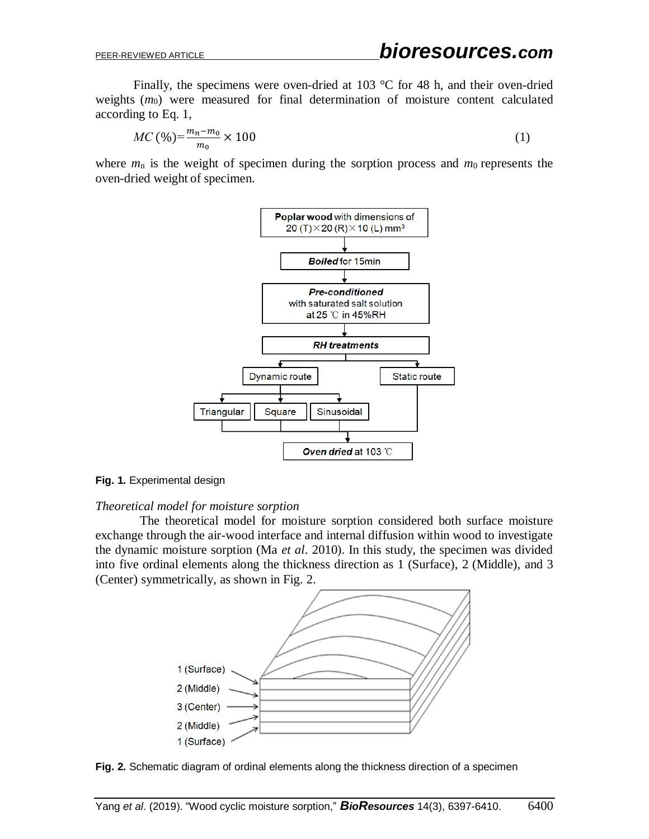Finally, the specimens were oven-dried at 103 °C for 48 h, and their oven-dried weights (*m*<sub>0</sub>) were measured for final determination of moisture content calculated according to Eq. 1,

$$
MC\left(\frac{\%}{m_0}\right) = \frac{m_n - m_0}{m_0} \times 100\tag{1}
$$

where  $m_n$  is the weight of specimen during the sorption process and  $m_0$  represents the oven-dried weight of specimen.



**Fig. 1.** Experimental design

#### *Theoretical model for moisture sorption*

The theoretical model for moisture sorption considered both surface moisture exchange through the air-wood interface and internal diffusion within wood to investigate the dynamic moisture sorption (Ma *et al*. 2010). In this study, the specimen was divided into five ordinal elements along the thickness direction as 1 (Surface), 2 (Middle), and 3 (Center) symmetrically, as shown in Fig. 2.



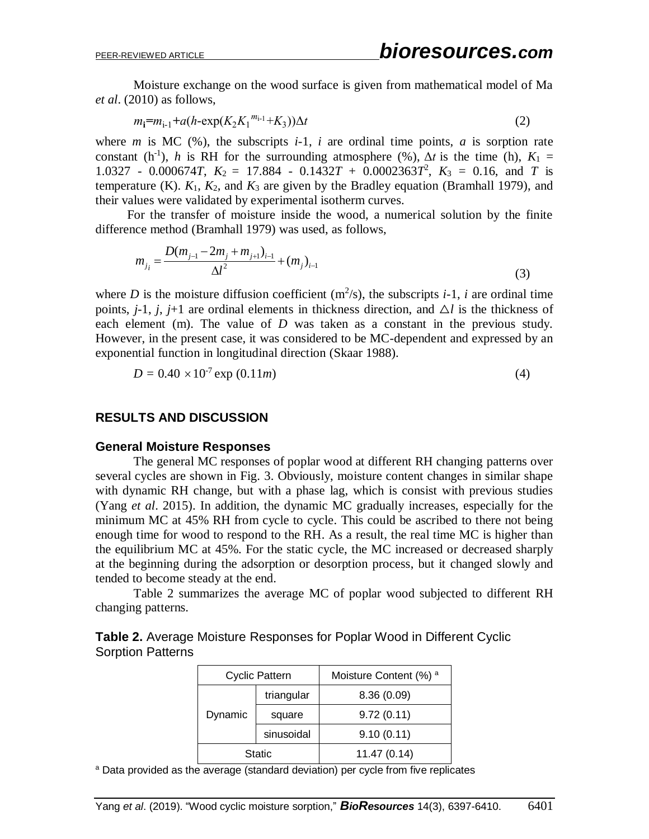Moisture exchange on the wood surface is given from mathematical model of Ma *et al*. (2010) as follows,

$$
m_1 = m_{1-1} + a(h - \exp(K_2 K_1^{m_{1-1}} + K_3))\Delta t
$$
\n(2)

where *m* is MC  $(\%)$ , the subscripts *i*-1, *i* are ordinal time points, *a* is sorption rate constant (h<sup>-1</sup>), *h* is RH for the surrounding atmosphere (%),  $\Delta t$  is the time (h),  $K_1 =$ 1.0327 - 0.000674*T*,  $K_2 = 17.884 - 0.1432T + 0.0002363T^2$ ,  $K_3 = 0.16$ , and *T* is temperature (K).  $K_1$ ,  $K_2$ , and  $K_3$  are given by the Bradley equation (Bramhall 1979), and their values were validated by experimental isotherm curves.

For the transfer of moisture inside the wood, a numerical solution by the finite difference method (Bramhall 1979) was used, as follows,

$$
m_{j_i} = \frac{D(m_{j-1} - 2m_j + m_{j+1})_{i-1}}{\Delta l^2} + (m_j)_{i-1}
$$
\n(3)

where *D* is the moisture diffusion coefficient  $(m^2/s)$ , the subscripts *i*-1, *i* are ordinal time points,  $j-1$ ,  $j$ ,  $j+1$  are ordinal elements in thickness direction, and  $\Delta l$  is the thickness of each element (m). The value of *D* was taken as a constant in the previous study. However, in the present case, it was considered to be MC-dependent and expressed by an exponential function in longitudinal direction (Skaar 1988).

$$
D = 0.40 \times 10^{-7} \exp(0.11m) \tag{4}
$$

## **RESULTS AND DISCUSSION**

#### **General Moisture Responses**

The general MC responses of poplar wood at different RH changing patterns over several cycles are shown in Fig. 3. Obviously, moisture content changes in similar shape with dynamic RH change, but with a phase lag, which is consist with previous studies (Yang *et al*. 2015). In addition, the dynamic MC gradually increases, especially for the minimum MC at 45% RH from cycle to cycle. This could be ascribed to there not being enough time for wood to respond to the RH. As a result, the real time MC is higher than the equilibrium MC at 45%. For the static cycle, the MC increased or decreased sharply at the beginning during the adsorption or desorption process, but it changed slowly and tended to become steady at the end.

Table 2 summarizes the average MC of poplar wood subjected to different RH changing patterns.

|                          | <b>Table 2.</b> Average Moisture Responses for Poplar Wood in Different Cyclic |  |  |
|--------------------------|--------------------------------------------------------------------------------|--|--|
| <b>Sorption Patterns</b> |                                                                                |  |  |

|         | <b>Cyclic Pattern</b> | Moisture Content (%) a |
|---------|-----------------------|------------------------|
| Dynamic | triangular            | 8.36(0.09)             |
|         | square                | 9.72(0.11)             |
|         | sinusoidal            | 9.10(0.11)             |
| Static  |                       | 11.47(0.14)            |

<sup>a</sup> Data provided as the average (standard deviation) per cycle from five replicates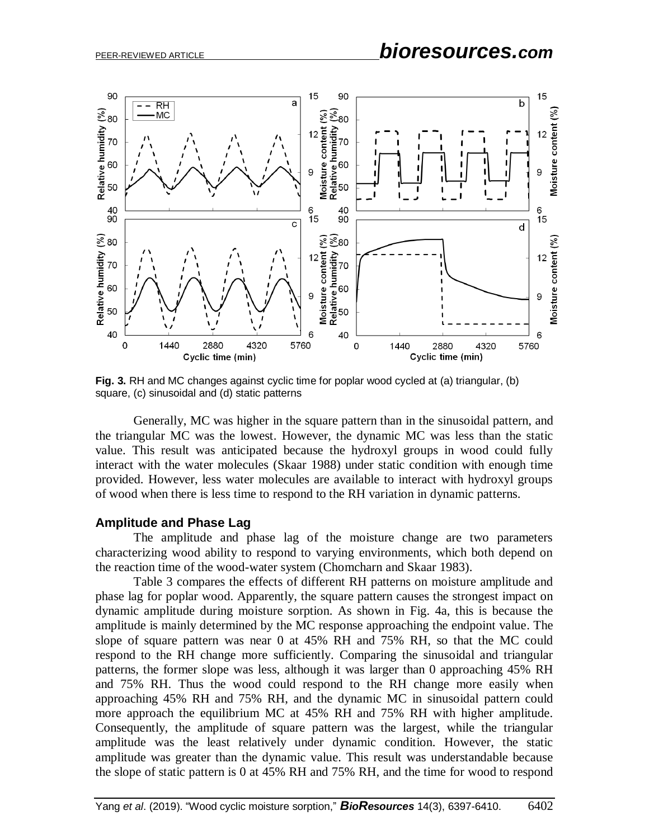

**Fig. 3.** RH and MC changes against cyclic time for poplar wood cycled at (a) triangular, (b) square, (c) sinusoidal and (d) static patterns

Generally, MC was higher in the square pattern than in the sinusoidal pattern, and the triangular MC was the lowest. However, the dynamic MC was less than the static value. This result was anticipated because the hydroxyl groups in wood could fully interact with the water molecules (Skaar 1988) under static condition with enough time provided. However, less water molecules are available to interact with hydroxyl groups of wood when there is less time to respond to the RH variation in dynamic patterns.

#### **Amplitude and Phase Lag**

The amplitude and phase lag of the moisture change are two parameters characterizing wood ability to respond to varying environments, which both depend on the reaction time of the wood-water system (Chomcharn and Skaar 1983).

Table 3 compares the effects of different RH patterns on moisture amplitude and phase lag for poplar wood. Apparently, the square pattern causes the strongest impact on dynamic amplitude during moisture sorption. As shown in Fig. 4a, this is because the amplitude is mainly determined by the MC response approaching the endpoint value. The slope of square pattern was near 0 at 45% RH and 75% RH, so that the MC could respond to the RH change more sufficiently. Comparing the sinusoidal and triangular patterns, the former slope was less, although it was larger than 0 approaching 45% RH and 75% RH. Thus the wood could respond to the RH change more easily when approaching 45% RH and 75% RH, and the dynamic MC in sinusoidal pattern could more approach the equilibrium MC at 45% RH and 75% RH with higher amplitude. Consequently, the amplitude of square pattern was the largest, while the triangular amplitude was the least relatively under dynamic condition. However, the static amplitude was greater than the dynamic value. This result was understandable because the slope of static pattern is 0 at 45% RH and 75% RH, and the time for wood to respond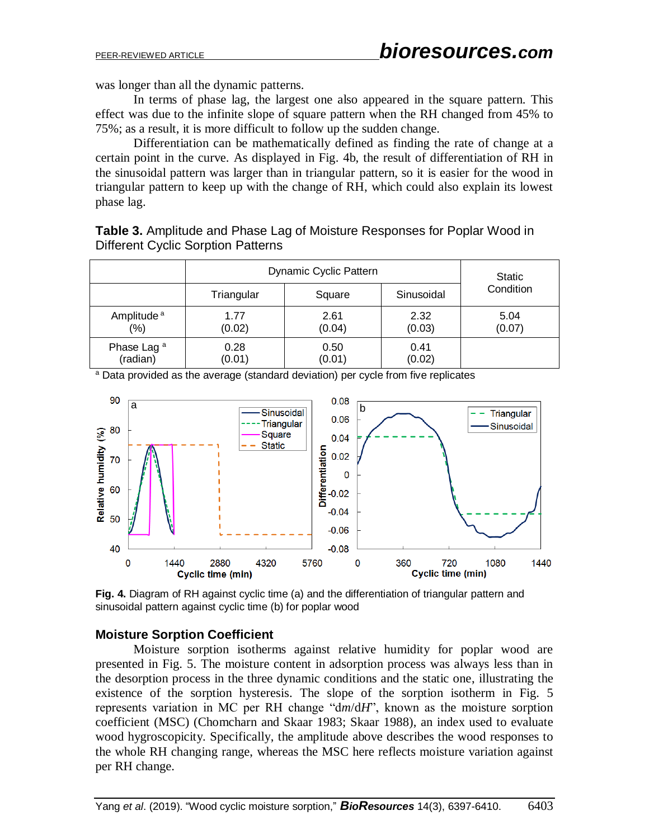was longer than all the dynamic patterns.

In terms of phase lag, the largest one also appeared in the square pattern. This effect was due to the infinite slope of square pattern when the RH changed from 45% to 75%; as a result, it is more difficult to follow up the sudden change.

Differentiation can be mathematically defined as finding the rate of change at a certain point in the curve. As displayed in Fig. 4b, the result of differentiation of RH in the sinusoidal pattern was larger than in triangular pattern, so it is easier for the wood in triangular pattern to keep up with the change of RH, which could also explain its lowest phase lag.

**Table 3.** Amplitude and Phase Lag of Moisture Responses for Poplar Wood in Different Cyclic Sorption Patterns

|                        | Dynamic Cyclic Pattern | Static |            |           |  |
|------------------------|------------------------|--------|------------|-----------|--|
|                        | Triangular             | Square | Sinusoidal | Condition |  |
| Amplitude <sup>a</sup> | 1.77                   | 2.61   | 2.32       | 5.04      |  |
| $(\% )$                | (0.02)                 | (0.04) | (0.03)     | (0.07)    |  |
| Phase Lag <sup>a</sup> | 0.28                   | 0.50   | 0.41       |           |  |
| (radian)               | (0.01)                 | (0.01) | (0.02)     |           |  |

<sup>a</sup> Data provided as the average (standard deviation) per cycle from five replicates



**Fig. 4.** Diagram of RH against cyclic time (a) and the differentiation of triangular pattern and sinusoidal pattern against cyclic time (b) for poplar wood

# **Moisture Sorption Coefficient**

Moisture sorption isotherms against relative humidity for poplar wood are presented in Fig. 5. The moisture content in adsorption process was always less than in the desorption process in the three dynamic conditions and the static one, illustrating the existence of the sorption hysteresis. The slope of the sorption isotherm in Fig. 5 represents variation in MC per RH change "d*m*/d*H*", known as the moisture sorption coefficient (MSC) (Chomcharn and Skaar 1983; Skaar 1988), an index used to evaluate wood hygroscopicity. Specifically, the amplitude above describes the wood responses to the whole RH changing range, whereas the MSC here reflects moisture variation against per RH change.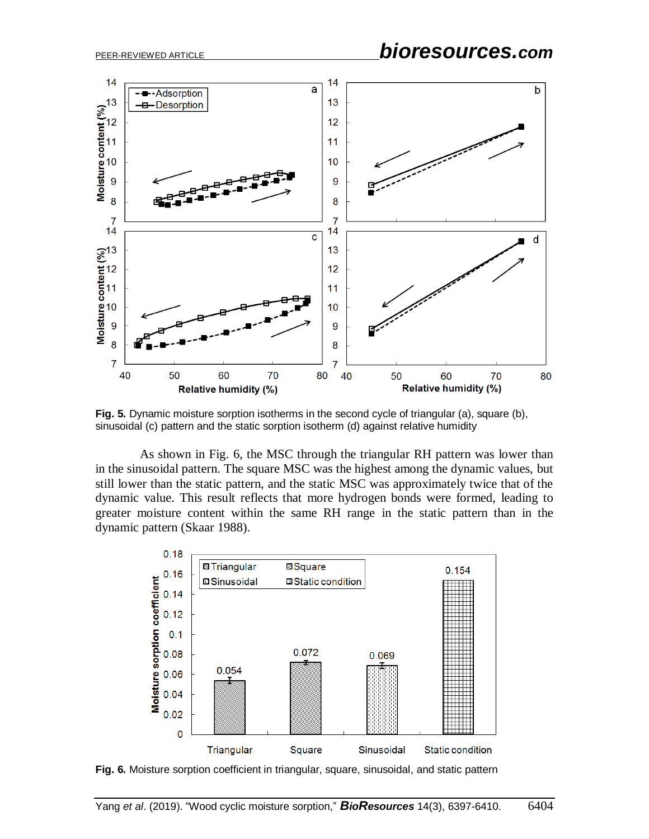# PEER-REVIEWED ARTICLE *bioresources.com*



**Fig. 5.** Dynamic moisture sorption isotherms in the second cycle of triangular (a), square (b), sinusoidal (c) pattern and the static sorption isotherm (d) against relative humidity

As shown in Fig. 6, the MSC through the triangular RH pattern was lower than in the sinusoidal pattern. The square MSC was the highest among the dynamic values, but still lower than the static pattern, and the static MSC was approximately twice that of the dynamic value. This result reflects that more hydrogen bonds were formed, leading to greater moisture content within the same RH range in the static pattern than in the dynamic pattern (Skaar 1988).



**Fig. 6.** Moisture sorption coefficient in triangular, square, sinusoidal, and static pattern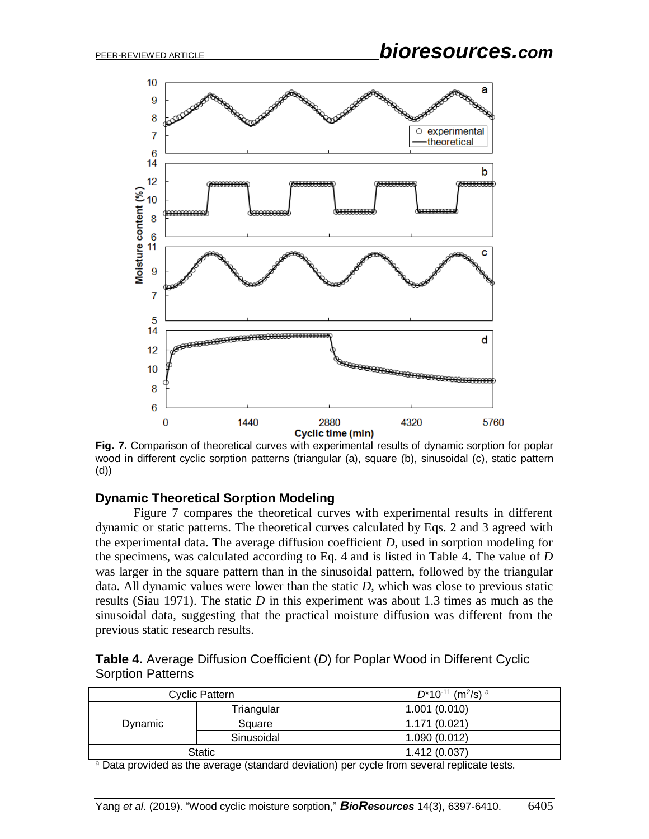

**Fig. 7.** Comparison of theoretical curves with experimental results of dynamic sorption for poplar wood in different cyclic sorption patterns (triangular (a), square (b), sinusoidal (c), static pattern (d))

### **Dynamic Theoretical Sorption Modeling**

Figure 7 compares the theoretical curves with experimental results in different dynamic or static patterns. The theoretical curves calculated by Eqs. 2 and 3 agreed with the experimental data. The average diffusion coefficient *D*, used in sorption modeling for the specimens, was calculated according to Eq. 4 and is listed in Table 4. The value of *D* was larger in the square pattern than in the sinusoidal pattern, followed by the triangular data. All dynamic values were lower than the static *D*, which was close to previous static results (Siau 1971). The static *D* in this experiment was about 1.3 times as much as the sinusoidal data, suggesting that the practical moisture diffusion was different from the previous static research results.

**Table 4.** Average Diffusion Coefficient (*D*) for Poplar Wood in Different Cyclic Sorption Patterns

| Cyclic Pattern |            | $D^*$ 10 <sup>-11</sup> (m <sup>2</sup> /s) <sup>a</sup> |  |  |
|----------------|------------|----------------------------------------------------------|--|--|
| Dynamic        | Triangular | 1.001(0.010)                                             |  |  |
|                | Square     | 1.171(0.021)                                             |  |  |
|                | Sinusoidal | 1.090(0.012)                                             |  |  |
| Static         |            | 1.412(0.037)                                             |  |  |

<sup>a</sup> Data provided as the average (standard deviation) per cycle from several replicate tests.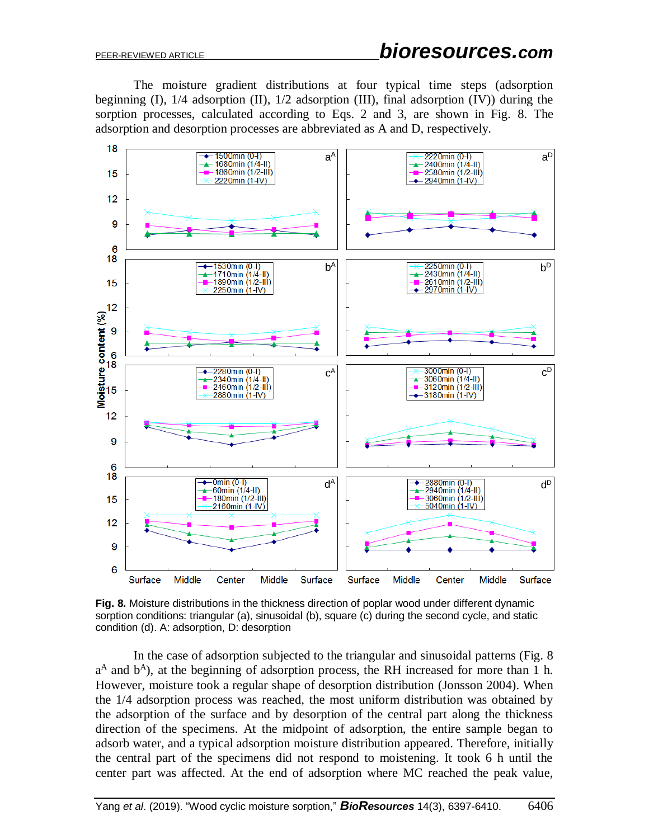The moisture gradient distributions at four typical time steps (adsorption beginning (I), 1/4 adsorption (II), 1/2 adsorption (III), final adsorption (IV)) during the sorption processes, calculated according to Eqs. 2 and 3, are shown in Fig. 8. The adsorption and desorption processes are abbreviated as A and D, respectively.



**Fig. 8.** Moisture distributions in the thickness direction of poplar wood under different dynamic sorption conditions: triangular (a), sinusoidal (b), square (c) during the second cycle, and static condition (d). A: adsorption, D: desorption

In the case of adsorption subjected to the triangular and sinusoidal patterns (Fig. 8 a<sup>A</sup> and b<sup>A</sup>), at the beginning of adsorption process, the RH increased for more than 1 h. However, moisture took a regular shape of desorption distribution (Jonsson 2004). When the 1/4 adsorption process was reached, the most uniform distribution was obtained by the adsorption of the surface and by desorption of the central part along the thickness direction of the specimens. At the midpoint of adsorption, the entire sample began to adsorb water, and a typical adsorption moisture distribution appeared. Therefore, initially the central part of the specimens did not respond to moistening. It took 6 h until the center part was affected. At the end of adsorption where MC reached the peak value,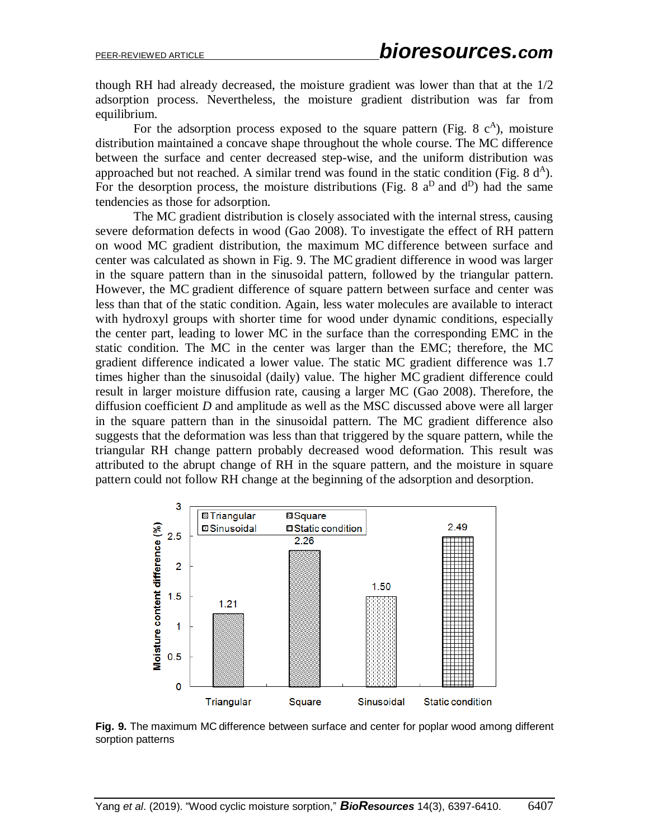though RH had already decreased, the moisture gradient was lower than that at the 1/2 adsorption process. Nevertheless, the moisture gradient distribution was far from equilibrium.

For the adsorption process exposed to the square pattern (Fig. 8  $c<sup>A</sup>$ ), moisture distribution maintained a concave shape throughout the whole course. The MC difference between the surface and center decreased step-wise, and the uniform distribution was approached but not reached. A similar trend was found in the static condition (Fig. 8  $d^A$ ). For the desorption process, the moisture distributions (Fig. 8  $a^D$  and  $d^D$ ) had the same tendencies as those for adsorption.

The MC gradient distribution is closely associated with the internal stress, causing severe deformation defects in wood (Gao 2008). To investigate the effect of RH pattern on wood MC gradient distribution, the maximum MC difference between surface and center was calculated as shown in Fig. 9. The MCgradient difference in wood was larger in the square pattern than in the sinusoidal pattern, followed by the triangular pattern. However, the MC gradient difference of square pattern between surface and center was less than that of the static condition. Again, less water molecules are available to interact with hydroxyl groups with shorter time for wood under dynamic conditions, especially the center part, leading to lower MC in the surface than the corresponding EMC in the static condition. The MC in the center was larger than the EMC; therefore, the MC gradient difference indicated a lower value. The static MC gradient difference was 1.7 times higher than the sinusoidal (daily) value. The higher MC gradient difference could result in larger moisture diffusion rate, causing a larger MC (Gao 2008). Therefore, the diffusion coefficient *D* and amplitude as well as the MSC discussed above were all larger in the square pattern than in the sinusoidal pattern. The MC gradient difference also suggests that the deformation was less than that triggered by the square pattern, while the triangular RH change pattern probably decreased wood deformation. This result was attributed to the abrupt change of RH in the square pattern, and the moisture in square pattern could not follow RH change at the beginning of the adsorption and desorption.



**Fig. 9.** The maximum MC difference between surface and center for poplar wood among different sorption patterns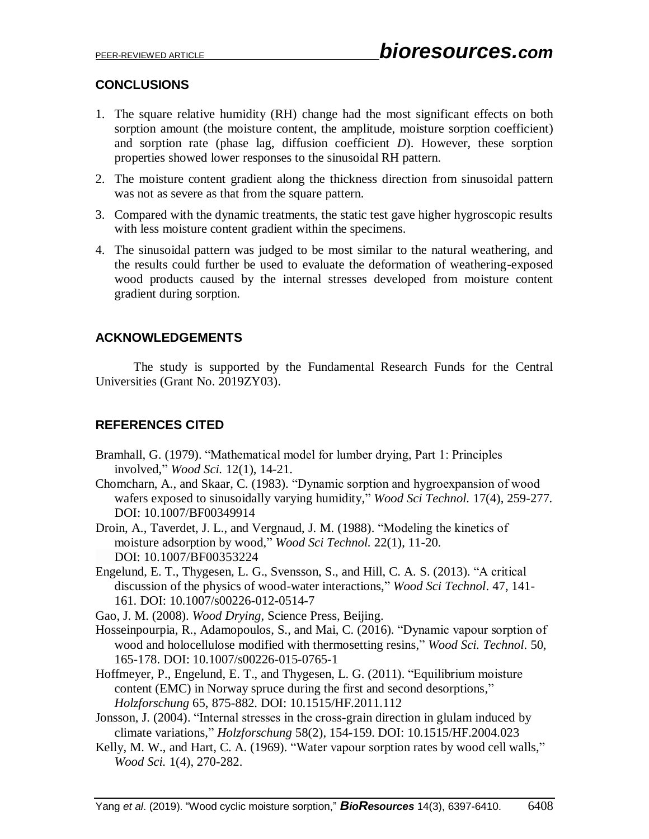# **CONCLUSIONS**

- 1. The square relative humidity (RH) change had the most significant effects on both sorption amount (the moisture content, the amplitude, moisture sorption coefficient) and sorption rate (phase lag, diffusion coefficient *D*). However, these sorption properties showed lower responses to the sinusoidal RH pattern.
- 2. The moisture content gradient along the thickness direction from sinusoidal pattern was not as severe as that from the square pattern.
- 3. Compared with the dynamic treatments, the static test gave higher hygroscopic results with less moisture content gradient within the specimens.
- 4. The sinusoidal pattern was judged to be most similar to the natural weathering, and the results could further be used to evaluate the deformation of weathering-exposed wood products caused by the internal stresses developed from moisture content gradient during sorption.

# **ACKNOWLEDGEMENTS**

The study is supported by the Fundamental Research Funds for the Central Universities (Grant No. 2019ZY03).

# **REFERENCES CITED**

- Bramhall, G. (1979). "Mathematical model for lumber drying, Part 1: Principles involved," *Wood Sci.* 12(1), 14-21.
- Chomcharn, A., and Skaar, C. (1983). "Dynamic sorption and hygroexpansion of wood wafers exposed to sinusoidally varying humidity," *Wood Sci Technol.* 17(4), 259-277. DOI: 10.1007/BF00349914
- Droin, A., Taverdet, J. L., and Vergnaud, J. M. (1988). "Modeling the kinetics of moisture adsorption by wood," *Wood Sci Technol.* 22(1), 11-20. DOI: 10.1007/BF00353224
- Engelund, E. T., Thygesen, L. G., Svensson, S., and Hill, C. A. S. (2013). "A critical discussion of the physics of wood-water interactions," *Wood Sci Technol*. 47, 141- 161. DOI: 10.1007/s00226-012-0514-7

Gao, J. M. (2008). *Wood Drying*, Science Press, Beijing.

- Hosseinpourpia, R., Adamopoulos, S., and Mai, C. (2016). "Dynamic vapour sorption of wood and holocellulose modified with thermosetting resins," *Wood Sci. Technol*. 50, 165-178. DOI: 10.1007/s00226-015-0765-1
- Hoffmeyer, P., Engelund, E. T., and Thygesen, L. G. (2011). "Equilibrium moisture content (EMC) in Norway spruce during the first and second desorptions," *Holzforschung* 65, 875-882. DOI: 10.1515/HF.2011.112
- Jonsson, J. (2004). "Internal stresses in the cross-grain direction in glulam induced by climate variations," *Holzforschung* 58(2), 154-159. DOI: 10.1515/HF.2004.023
- Kelly, M. W., and Hart, C. A. (1969). "Water vapour sorption rates by wood cell walls," *Wood Sci.* 1(4), 270-282.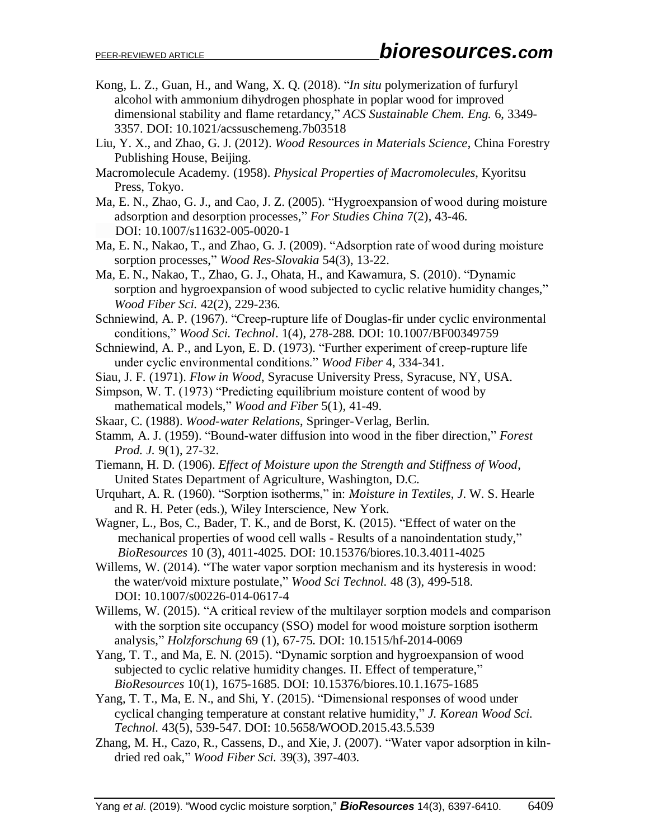- Kong, L. Z., Guan, H., and Wang, X. Q. (2018). "*In situ* polymerization of furfuryl alcohol with ammonium dihydrogen phosphate in poplar wood for improved dimensional stability and flame retardancy," *ACS Sustainable Chem. Eng.* 6, 3349- 3357. DOI: 10.1021/acssuschemeng.7b03518
- Liu, Y. X., and Zhao, G. J. (2012). *Wood Resources in Materials Science*, China Forestry Publishing House, Beijing.
- Macromolecule Academy. (1958). *Physical Properties of Macromolecules*, Kyoritsu Press, Tokyo.
- Ma, E. N., Zhao, G. J., and Cao, J. Z. (2005). "Hygroexpansion of wood during moisture adsorption and desorption processes," *For Studies China* 7(2), 43-46. DOI: 10.1007/s11632-005-0020-1
- Ma, E. N., Nakao, T., and Zhao, G. J. (2009). "Adsorption rate of wood during moisture sorption processes," *Wood Res-Slovakia* 54(3), 13-22.
- Ma, E. N., Nakao, T., Zhao, G. J., Ohata, H., and Kawamura, S. (2010). "Dynamic sorption and hygroexpansion of wood subjected to cyclic relative humidity changes," *Wood Fiber Sci.* 42(2), 229-236.
- Schniewind, A. P. (1967). "Creep-rupture life of Douglas-fir under cyclic environmental conditions," *Wood Sci. Technol*. 1(4), 278-288. DOI: 10.1007/BF00349759
- Schniewind, A. P., and Lyon, E. D. (1973). "Further experiment of creep-rupture life under cyclic environmental conditions." *Wood Fiber* 4, 334-341.
- Siau, J. F. (1971). *Flow in Wood*, Syracuse University Press, Syracuse, NY, USA.
- Simpson, W. T. (1973) "Predicting equilibrium moisture content of wood by mathematical models," *Wood and Fiber* 5(1), 41-49.
- Skaar, C. (1988). *Wood-water Relations*, Springer-Verlag, Berlin.
- Stamm, A. J. (1959). "Bound-water diffusion into wood in the fiber direction," *Forest Prod. J.* 9(1), 27-32.
- Tiemann, H. D. (1906). *Effect of Moisture upon the Strength and Stiffness of Wood*, United States Department of Agriculture, Washington, D.C.
- Urquhart, A. R. (1960). "Sorption isotherms," in: *Moisture in Textiles*, *J*. W. S. Hearle and R. H. Peter (eds.), Wiley Interscience, New York.
- Wagner, L., Bos, C., Bader, T. K., and de Borst, K. (2015). "Effect of water on the mechanical properties of wood cell walls - Results of a nanoindentation study," *BioResources* 10 (3), 4011-4025. DOI: 10.15376/biores.10.3.4011-4025
- Willems, W. (2014). "The water vapor sorption mechanism and its hysteresis in wood: the water/void mixture postulate," *Wood Sci Technol.* 48 (3), 499-518. DOI: 10.1007/s00226-014-0617-4
- Willems, W. (2015). "A critical review of the multilayer sorption models and comparison with the sorption site occupancy (SSO) model for wood moisture sorption isotherm analysis," *Holzforschung* 69 (1), 67-75. DOI: 10.1515/hf-2014-0069
- Yang, T. T., and Ma, E. N. (2015). "Dynamic sorption and hygroexpansion of wood subjected to cyclic relative humidity changes. II. Effect of temperature," *BioResources* 10(1), 1675-1685. DOI: 10.15376/biores.10.1.1675-1685
- Yang, T. T., Ma, E. N., and Shi, Y. (2015). "Dimensional responses of wood under cyclical changing temperature at constant relative humidity," *J. Korean Wood Sci. Technol.* 43(5), 539-547. DOI: 10.5658/WOOD.2015.43.5.539
- Zhang, M. H., Cazo, R., Cassens, D., and Xie, J. (2007). "Water vapor adsorption in kilndried red oak," *Wood Fiber Sci.* 39(3), 397-403.